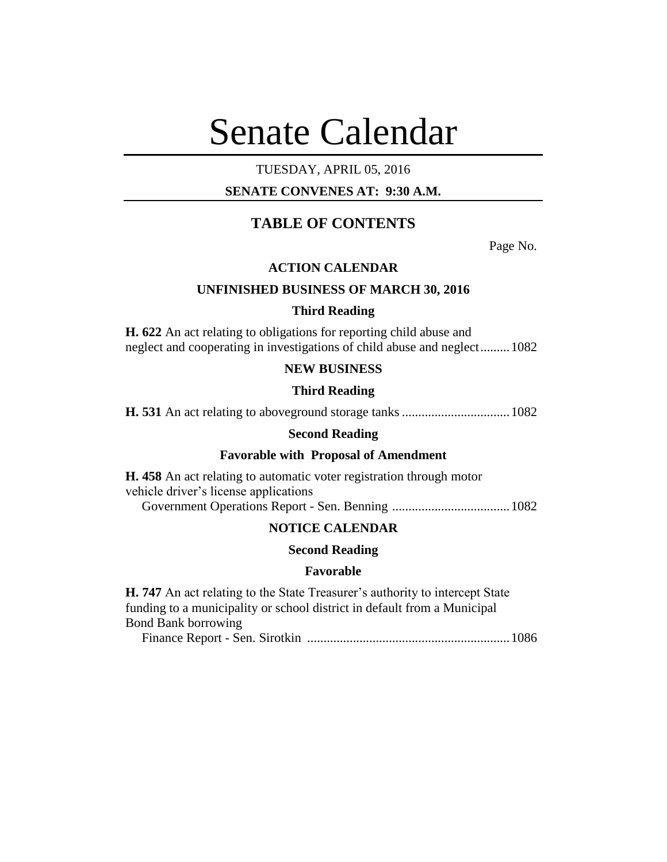# Senate Calendar

## TUESDAY, APRIL 05, 2016

# **SENATE CONVENES AT: 9:30 A.M.**

# **TABLE OF CONTENTS**

Page No.

## **ACTION CALENDAR**

### **UNFINISHED BUSINESS OF MARCH 30, 2016**

### **Third Reading**

**H. 622** An act relating to obligations for reporting child abuse and neglect and cooperating in investigations of child abuse and neglect.........1082

### **NEW BUSINESS**

#### **Third Reading**

**H. 531** An act relating to aboveground storage tanks.................................1082

#### **Second Reading**

#### **Favorable with Proposal of Amendment**

**H. 458** An act relating to automatic voter registration through motor vehicle driver's license applications

Government Operations Report - Sen. Benning ....................................1082

## **NOTICE CALENDAR**

#### **Second Reading**

#### **Favorable**

**H. 747** An act relating to the State Treasurer's authority to intercept State funding to a municipality or school district in default from a Municipal Bond Bank borrowing Finance Report - Sen. Sirotkin ..............................................................1086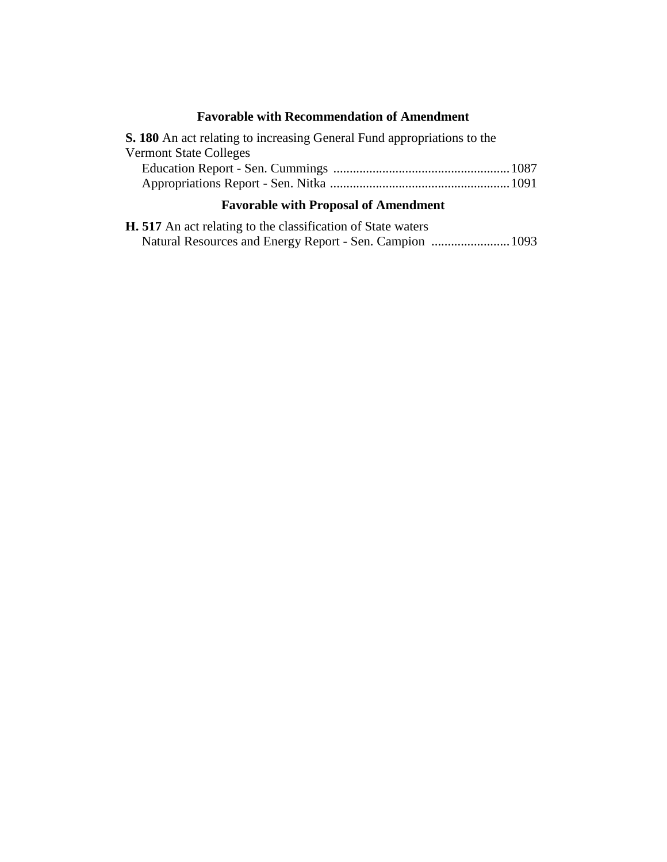# **Favorable with Recommendation of Amendment**

| <b>S. 180</b> An act relating to increasing General Fund appropriations to the |  |
|--------------------------------------------------------------------------------|--|
| <b>Vermont State Colleges</b>                                                  |  |
|                                                                                |  |
|                                                                                |  |
|                                                                                |  |

# **Favorable with Proposal of Amendment**

|  | <b>H.</b> 517 An act relating to the classification of State waters |  |                                                          |  |
|--|---------------------------------------------------------------------|--|----------------------------------------------------------|--|
|  |                                                                     |  | Natural Resources and Energy Report - Sen. Campion  1093 |  |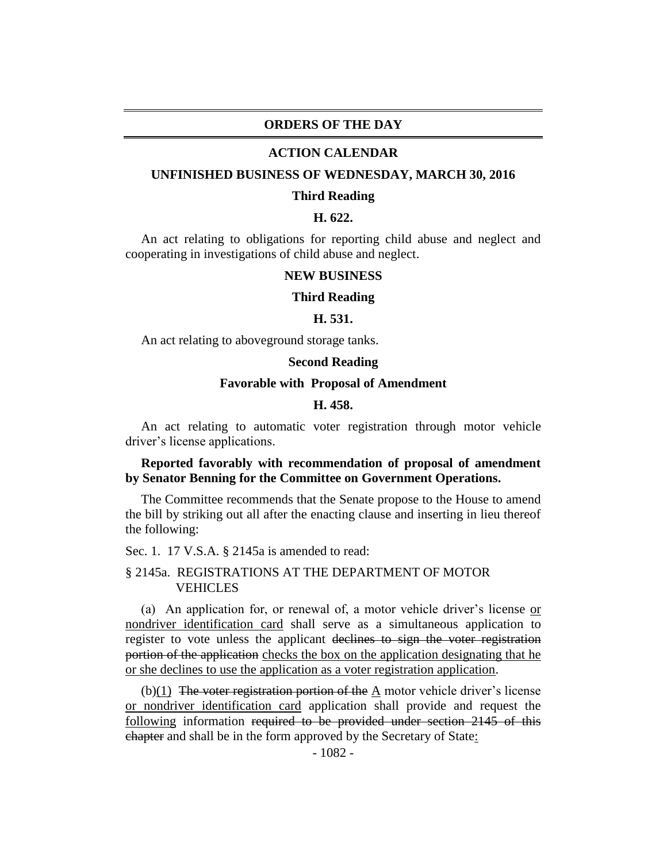#### **ORDERS OF THE DAY**

#### **ACTION CALENDAR**

#### **UNFINISHED BUSINESS OF WEDNESDAY, MARCH 30, 2016**

#### **Third Reading**

#### **H. 622.**

An act relating to obligations for reporting child abuse and neglect and cooperating in investigations of child abuse and neglect.

#### **NEW BUSINESS**

#### **Third Reading**

#### **H. 531.**

An act relating to aboveground storage tanks.

#### **Second Reading**

#### **Favorable with Proposal of Amendment**

#### **H. 458.**

An act relating to automatic voter registration through motor vehicle driver's license applications.

#### **Reported favorably with recommendation of proposal of amendment by Senator Benning for the Committee on Government Operations.**

The Committee recommends that the Senate propose to the House to amend the bill by striking out all after the enacting clause and inserting in lieu thereof the following:

Sec. 1. 17 V.S.A. § 2145a is amended to read:

#### § 2145a. REGISTRATIONS AT THE DEPARTMENT OF MOTOR **VEHICLES**

(a) An application for, or renewal of, a motor vehicle driver's license or nondriver identification card shall serve as a simultaneous application to register to vote unless the applicant declines to sign the voter registration portion of the application checks the box on the application designating that he or she declines to use the application as a voter registration application.

 $(b)(1)$  The voter registration portion of the A motor vehicle driver's license or nondriver identification card application shall provide and request the following information required to be provided under section 2145 of this chapter and shall be in the form approved by the Secretary of State: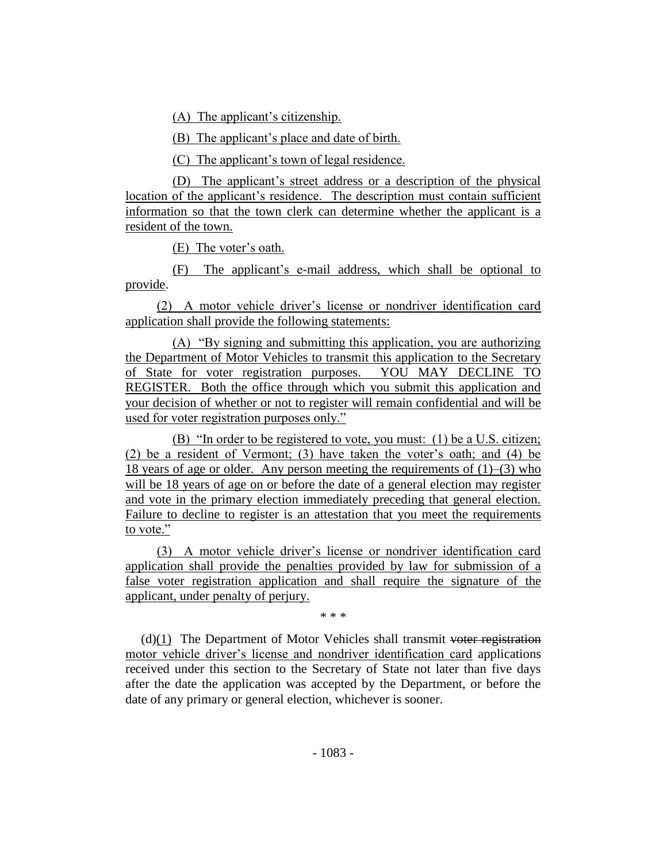(A) The applicant's citizenship.

(B) The applicant's place and date of birth.

(C) The applicant's town of legal residence.

(D) The applicant's street address or a description of the physical location of the applicant's residence. The description must contain sufficient information so that the town clerk can determine whether the applicant is a resident of the town.

(E) The voter's oath.

(F) The applicant's e-mail address, which shall be optional to provide.

(2) A motor vehicle driver's license or nondriver identification card application shall provide the following statements:

(A) "By signing and submitting this application, you are authorizing the Department of Motor Vehicles to transmit this application to the Secretary of State for voter registration purposes. YOU MAY DECLINE TO REGISTER. Both the office through which you submit this application and your decision of whether or not to register will remain confidential and will be used for voter registration purposes only."

(B) "In order to be registered to vote, you must: (1) be a U.S. citizen; (2) be a resident of Vermont; (3) have taken the voter's oath; and (4) be 18 years of age or older. Any person meeting the requirements of  $(1)$ – $(3)$  who will be 18 years of age on or before the date of a general election may register and vote in the primary election immediately preceding that general election. Failure to decline to register is an attestation that you meet the requirements to vote."

(3) A motor vehicle driver's license or nondriver identification card application shall provide the penalties provided by law for submission of a false voter registration application and shall require the signature of the applicant, under penalty of perjury.

\* \* \*

 $(d)(1)$  The Department of Motor Vehicles shall transmit voter registration motor vehicle driver's license and nondriver identification card applications received under this section to the Secretary of State not later than five days after the date the application was accepted by the Department, or before the date of any primary or general election, whichever is sooner.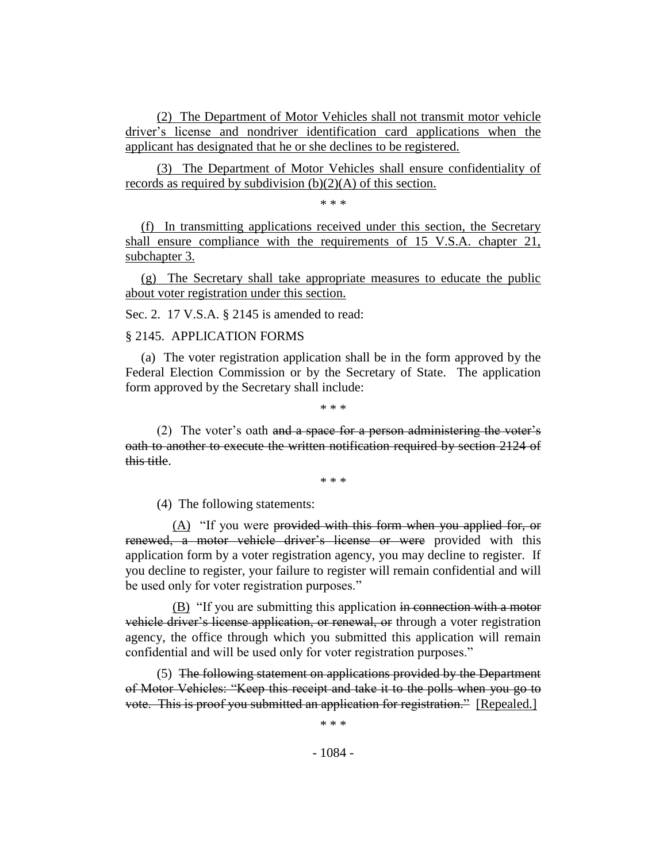(2) The Department of Motor Vehicles shall not transmit motor vehicle driver's license and nondriver identification card applications when the applicant has designated that he or she declines to be registered.

(3) The Department of Motor Vehicles shall ensure confidentiality of records as required by subdivision  $(b)(2)(A)$  of this section.

\* \* \*

(f) In transmitting applications received under this section, the Secretary shall ensure compliance with the requirements of 15 V.S.A. chapter 21, subchapter 3.

(g) The Secretary shall take appropriate measures to educate the public about voter registration under this section.

Sec. 2. 17 V.S.A. § 2145 is amended to read:

§ 2145. APPLICATION FORMS

(a) The voter registration application shall be in the form approved by the Federal Election Commission or by the Secretary of State. The application form approved by the Secretary shall include:

\* \* \*

(2) The voter's oath and a space for a person administering the voter's oath to another to execute the written notification required by section 2124 of this title.

\* \* \*

(4) The following statements:

 $(A)$  "If you were provided with this form when you applied for, or renewed, a motor vehicle driver's license or were provided with this application form by a voter registration agency, you may decline to register. If you decline to register, your failure to register will remain confidential and will be used only for voter registration purposes."

(B) "If you are submitting this application in connection with a motor vehicle driver's license application, or renewal, or through a voter registration agency, the office through which you submitted this application will remain confidential and will be used only for voter registration purposes."

(5) The following statement on applications provided by the Department of Motor Vehicles: "Keep this receipt and take it to the polls when you go to vote. This is proof you submitted an application for registration." [Repealed.]

\* \* \*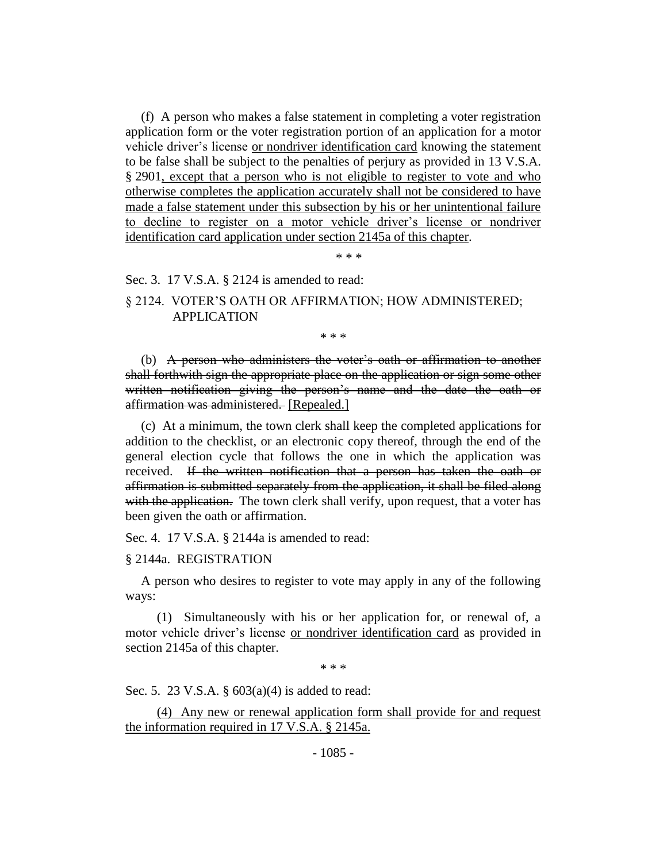(f) A person who makes a false statement in completing a voter registration application form or the voter registration portion of an application for a motor vehicle driver's license or nondriver identification card knowing the statement to be false shall be subject to the penalties of perjury as provided in 13 V.S.A. § 2901, except that a person who is not eligible to register to vote and who otherwise completes the application accurately shall not be considered to have made a false statement under this subsection by his or her unintentional failure to decline to register on a motor vehicle driver's license or nondriver identification card application under section 2145a of this chapter.

\* \* \*

Sec. 3. 17 V.S.A. § 2124 is amended to read:

# § 2124. VOTER'S OATH OR AFFIRMATION; HOW ADMINISTERED; APPLICATION

\* \* \*

(b) A person who administers the voter's oath or affirmation to another shall forthwith sign the appropriate place on the application or sign some other written notification giving the person's name and the date the oath or affirmation was administered. [Repealed.]

(c) At a minimum, the town clerk shall keep the completed applications for addition to the checklist, or an electronic copy thereof, through the end of the general election cycle that follows the one in which the application was received. If the written notification that a person has taken the oath or affirmation is submitted separately from the application, it shall be filed along with the application. The town clerk shall verify, upon request, that a voter has been given the oath or affirmation.

Sec. 4. 17 V.S.A. § 2144a is amended to read:

§ 2144a. REGISTRATION

A person who desires to register to vote may apply in any of the following ways:

(1) Simultaneously with his or her application for, or renewal of, a motor vehicle driver's license or nondriver identification card as provided in section 2145a of this chapter.

\* \* \*

Sec. 5. 23 V.S.A. § 603(a)(4) is added to read:

(4) Any new or renewal application form shall provide for and request the information required in 17 V.S.A. § 2145a.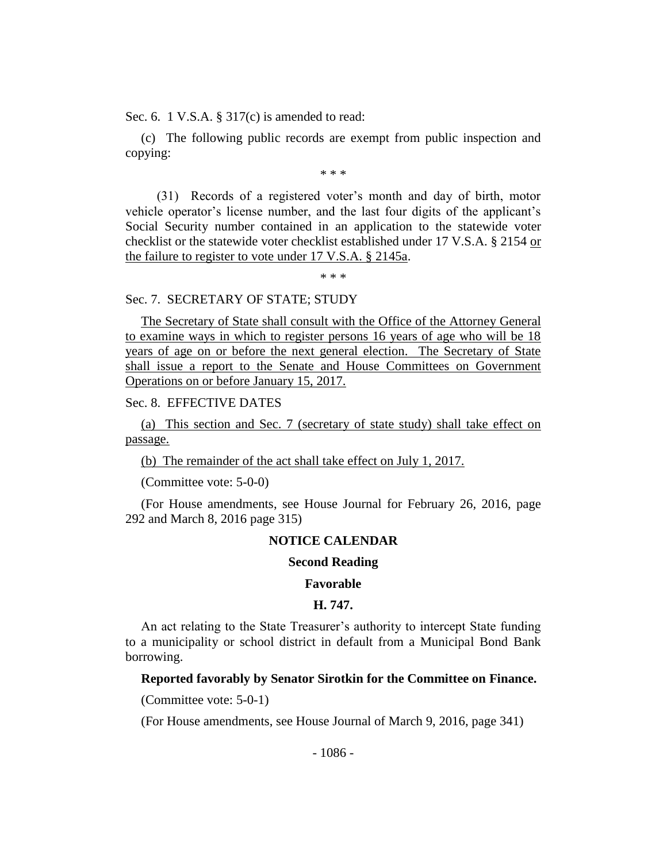Sec. 6. 1 V.S.A. § 317(c) is amended to read:

(c) The following public records are exempt from public inspection and copying:

\* \* \*

(31) Records of a registered voter's month and day of birth, motor vehicle operator's license number, and the last four digits of the applicant's Social Security number contained in an application to the statewide voter checklist or the statewide voter checklist established under 17 V.S.A. § 2154 or the failure to register to vote under 17 V.S.A. § 2145a.

\* \* \*

### Sec. 7. SECRETARY OF STATE; STUDY

The Secretary of State shall consult with the Office of the Attorney General to examine ways in which to register persons 16 years of age who will be 18 years of age on or before the next general election. The Secretary of State shall issue a report to the Senate and House Committees on Government Operations on or before January 15, 2017.

# Sec. 8. EFFECTIVE DATES

(a) This section and Sec. 7 (secretary of state study) shall take effect on passage.

(b) The remainder of the act shall take effect on July 1, 2017.

(Committee vote: 5-0-0)

(For House amendments, see House Journal for February 26, 2016, page 292 and March 8, 2016 page 315)

### **NOTICE CALENDAR**

#### **Second Reading**

#### **Favorable**

#### **H. 747.**

An act relating to the State Treasurer's authority to intercept State funding to a municipality or school district in default from a Municipal Bond Bank borrowing.

#### **Reported favorably by Senator Sirotkin for the Committee on Finance.**

(Committee vote: 5-0-1)

(For House amendments, see House Journal of March 9, 2016, page 341)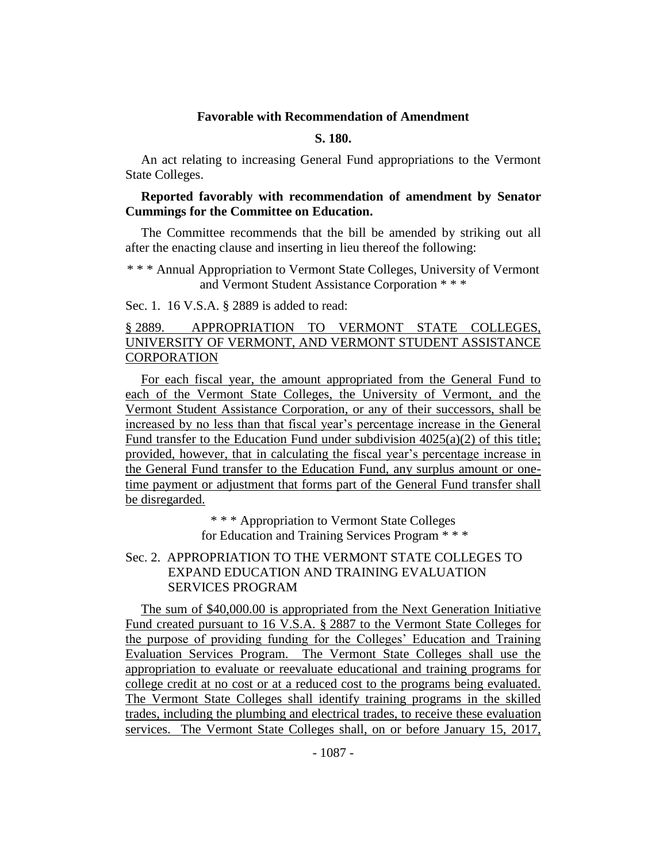#### **Favorable with Recommendation of Amendment**

## **S. 180.**

An act relating to increasing General Fund appropriations to the Vermont State Colleges.

#### **Reported favorably with recommendation of amendment by Senator Cummings for the Committee on Education.**

The Committee recommends that the bill be amended by striking out all after the enacting clause and inserting in lieu thereof the following:

\* \* \* Annual Appropriation to Vermont State Colleges, University of Vermont and Vermont Student Assistance Corporation \* \* \*

Sec. 1. 16 V.S.A. § 2889 is added to read:

# § 2889. APPROPRIATION TO VERMONT STATE COLLEGES, UNIVERSITY OF VERMONT, AND VERMONT STUDENT ASSISTANCE **CORPORATION**

For each fiscal year, the amount appropriated from the General Fund to each of the Vermont State Colleges, the University of Vermont, and the Vermont Student Assistance Corporation, or any of their successors, shall be increased by no less than that fiscal year's percentage increase in the General Fund transfer to the Education Fund under subdivision 4025(a)(2) of this title; provided, however, that in calculating the fiscal year's percentage increase in the General Fund transfer to the Education Fund, any surplus amount or onetime payment or adjustment that forms part of the General Fund transfer shall be disregarded.

\* \* \* Appropriation to Vermont State Colleges

for Education and Training Services Program \* \* \*

## Sec. 2. APPROPRIATION TO THE VERMONT STATE COLLEGES TO EXPAND EDUCATION AND TRAINING EVALUATION SERVICES PROGRAM

The sum of \$40,000.00 is appropriated from the Next Generation Initiative Fund created pursuant to 16 V.S.A. § 2887 to the Vermont State Colleges for the purpose of providing funding for the Colleges' Education and Training Evaluation Services Program. The Vermont State Colleges shall use the appropriation to evaluate or reevaluate educational and training programs for college credit at no cost or at a reduced cost to the programs being evaluated. The Vermont State Colleges shall identify training programs in the skilled trades, including the plumbing and electrical trades, to receive these evaluation services. The Vermont State Colleges shall, on or before January 15, 2017,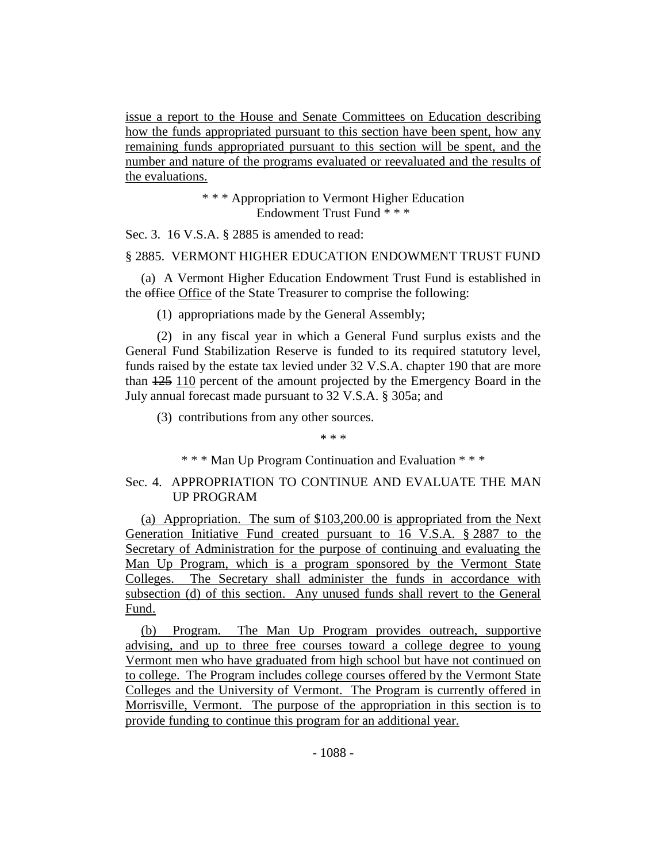issue a report to the House and Senate Committees on Education describing how the funds appropriated pursuant to this section have been spent, how any remaining funds appropriated pursuant to this section will be spent, and the number and nature of the programs evaluated or reevaluated and the results of the evaluations.

> \* \* \* Appropriation to Vermont Higher Education Endowment Trust Fund \* \* \*

Sec. 3. 16 V.S.A. § 2885 is amended to read:

§ 2885. VERMONT HIGHER EDUCATION ENDOWMENT TRUST FUND

(a) A Vermont Higher Education Endowment Trust Fund is established in the office Office of the State Treasurer to comprise the following:

(1) appropriations made by the General Assembly;

(2) in any fiscal year in which a General Fund surplus exists and the General Fund Stabilization Reserve is funded to its required statutory level, funds raised by the estate tax levied under 32 V.S.A. chapter 190 that are more than 125 110 percent of the amount projected by the Emergency Board in the July annual forecast made pursuant to 32 V.S.A. § 305a; and

(3) contributions from any other sources.

\* \* \*

\* \* \* Man Up Program Continuation and Evaluation \* \* \*

## Sec. 4. APPROPRIATION TO CONTINUE AND EVALUATE THE MAN UP PROGRAM

(a) Appropriation. The sum of \$103,200.00 is appropriated from the Next Generation Initiative Fund created pursuant to 16 V.S.A. § 2887 to the Secretary of Administration for the purpose of continuing and evaluating the Man Up Program, which is a program sponsored by the Vermont State Colleges. The Secretary shall administer the funds in accordance with subsection (d) of this section. Any unused funds shall revert to the General Fund.

(b) Program. The Man Up Program provides outreach, supportive advising, and up to three free courses toward a college degree to young Vermont men who have graduated from high school but have not continued on to college. The Program includes college courses offered by the Vermont State Colleges and the University of Vermont. The Program is currently offered in Morrisville, Vermont. The purpose of the appropriation in this section is to provide funding to continue this program for an additional year.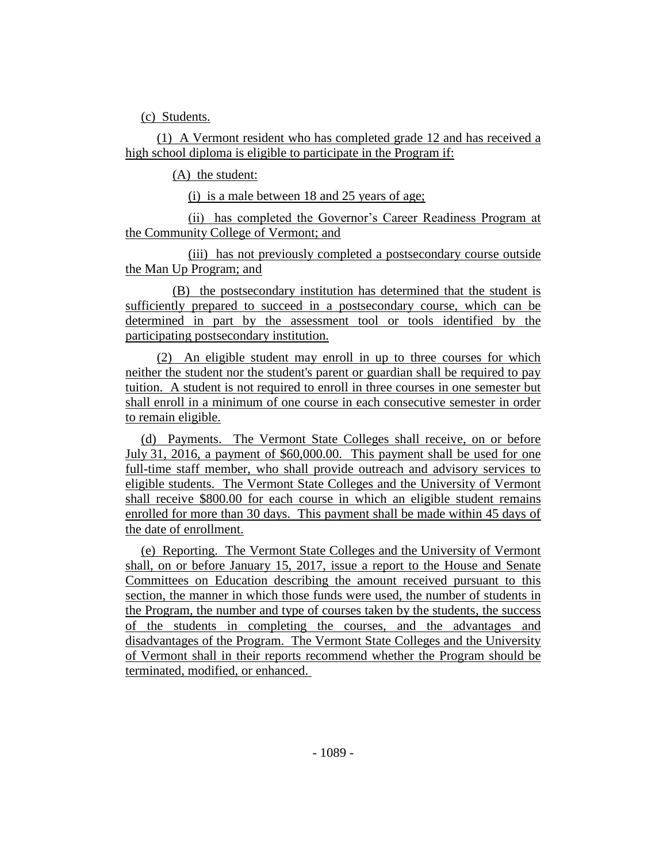(c) Students.

(1) A Vermont resident who has completed grade 12 and has received a high school diploma is eligible to participate in the Program if:

(A) the student:

(i) is a male between 18 and 25 years of age;

(ii) has completed the Governor's Career Readiness Program at the Community College of Vermont; and

(iii) has not previously completed a postsecondary course outside the Man Up Program; and

(B) the postsecondary institution has determined that the student is sufficiently prepared to succeed in a postsecondary course, which can be determined in part by the assessment tool or tools identified by the participating postsecondary institution.

(2) An eligible student may enroll in up to three courses for which neither the student nor the student's parent or guardian shall be required to pay tuition. A student is not required to enroll in three courses in one semester but shall enroll in a minimum of one course in each consecutive semester in order to remain eligible.

(d) Payments. The Vermont State Colleges shall receive, on or before July 31, 2016, a payment of \$60,000.00. This payment shall be used for one full-time staff member, who shall provide outreach and advisory services to eligible students. The Vermont State Colleges and the University of Vermont shall receive \$800.00 for each course in which an eligible student remains enrolled for more than 30 days. This payment shall be made within 45 days of the date of enrollment.

(e) Reporting. The Vermont State Colleges and the University of Vermont shall, on or before January 15, 2017, issue a report to the House and Senate Committees on Education describing the amount received pursuant to this section, the manner in which those funds were used, the number of students in the Program, the number and type of courses taken by the students, the success of the students in completing the courses, and the advantages and disadvantages of the Program. The Vermont State Colleges and the University of Vermont shall in their reports recommend whether the Program should be terminated, modified, or enhanced.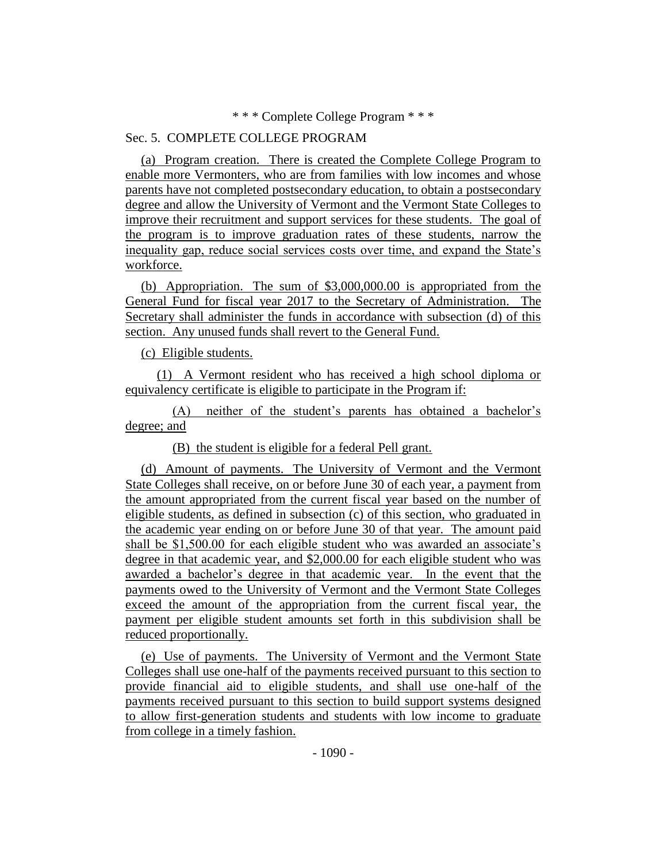\* \* \* Complete College Program \* \* \*

## Sec. 5. COMPLETE COLLEGE PROGRAM

(a) Program creation. There is created the Complete College Program to enable more Vermonters, who are from families with low incomes and whose parents have not completed postsecondary education, to obtain a postsecondary degree and allow the University of Vermont and the Vermont State Colleges to improve their recruitment and support services for these students. The goal of the program is to improve graduation rates of these students, narrow the inequality gap, reduce social services costs over time, and expand the State's workforce.

(b) Appropriation. The sum of \$3,000,000.00 is appropriated from the General Fund for fiscal year 2017 to the Secretary of Administration. The Secretary shall administer the funds in accordance with subsection (d) of this section. Any unused funds shall revert to the General Fund.

(c) Eligible students.

(1) A Vermont resident who has received a high school diploma or equivalency certificate is eligible to participate in the Program if:

(A) neither of the student's parents has obtained a bachelor's degree; and

(B) the student is eligible for a federal Pell grant.

(d) Amount of payments. The University of Vermont and the Vermont State Colleges shall receive, on or before June 30 of each year, a payment from the amount appropriated from the current fiscal year based on the number of eligible students, as defined in subsection (c) of this section, who graduated in the academic year ending on or before June 30 of that year. The amount paid shall be \$1,500.00 for each eligible student who was awarded an associate's degree in that academic year, and \$2,000.00 for each eligible student who was awarded a bachelor's degree in that academic year. In the event that the payments owed to the University of Vermont and the Vermont State Colleges exceed the amount of the appropriation from the current fiscal year, the payment per eligible student amounts set forth in this subdivision shall be reduced proportionally.

(e) Use of payments. The University of Vermont and the Vermont State Colleges shall use one-half of the payments received pursuant to this section to provide financial aid to eligible students, and shall use one-half of the payments received pursuant to this section to build support systems designed to allow first-generation students and students with low income to graduate from college in a timely fashion.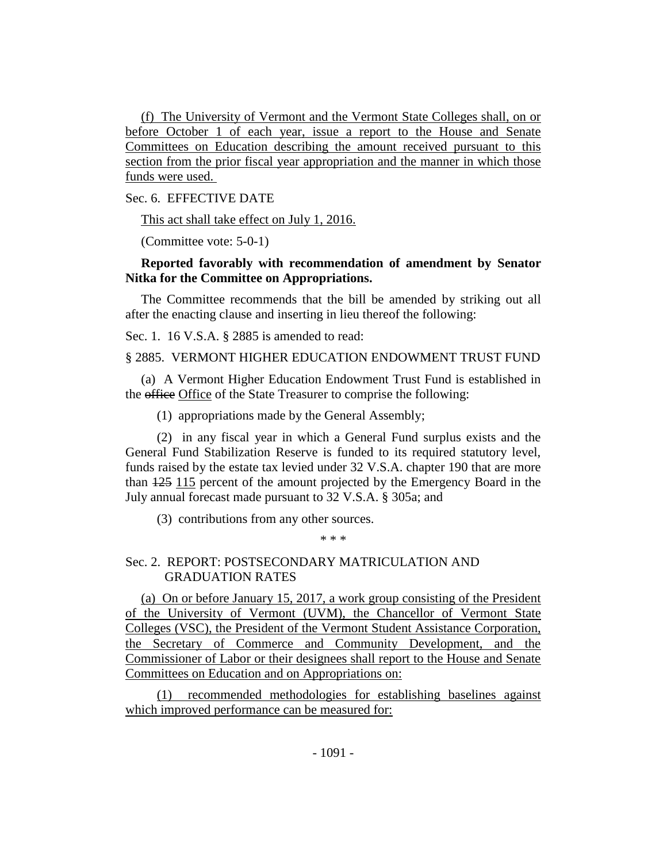(f) The University of Vermont and the Vermont State Colleges shall, on or before October 1 of each year, issue a report to the House and Senate Committees on Education describing the amount received pursuant to this section from the prior fiscal year appropriation and the manner in which those funds were used.

Sec. 6. EFFECTIVE DATE

This act shall take effect on July 1, 2016.

(Committee vote: 5-0-1)

## **Reported favorably with recommendation of amendment by Senator Nitka for the Committee on Appropriations.**

The Committee recommends that the bill be amended by striking out all after the enacting clause and inserting in lieu thereof the following:

Sec. 1. 16 V.S.A. § 2885 is amended to read:

§ 2885. VERMONT HIGHER EDUCATION ENDOWMENT TRUST FUND

(a) A Vermont Higher Education Endowment Trust Fund is established in the office Office of the State Treasurer to comprise the following:

(1) appropriations made by the General Assembly;

(2) in any fiscal year in which a General Fund surplus exists and the General Fund Stabilization Reserve is funded to its required statutory level, funds raised by the estate tax levied under 32 V.S.A. chapter 190 that are more than 125 115 percent of the amount projected by the Emergency Board in the July annual forecast made pursuant to 32 V.S.A. § 305a; and

(3) contributions from any other sources.

\* \* \*

## Sec. 2. REPORT: POSTSECONDARY MATRICULATION AND GRADUATION RATES

(a) On or before January 15, 2017, a work group consisting of the President of the University of Vermont (UVM), the Chancellor of Vermont State Colleges (VSC), the President of the Vermont Student Assistance Corporation, the Secretary of Commerce and Community Development, and the Commissioner of Labor or their designees shall report to the House and Senate Committees on Education and on Appropriations on:

(1) recommended methodologies for establishing baselines against which improved performance can be measured for: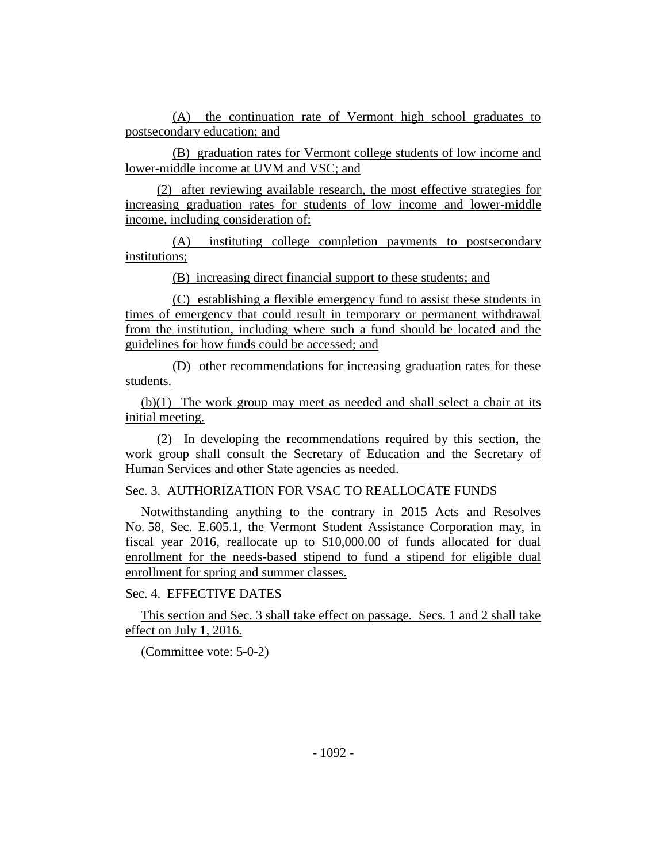(A) the continuation rate of Vermont high school graduates to postsecondary education; and

(B) graduation rates for Vermont college students of low income and lower-middle income at UVM and VSC; and

(2) after reviewing available research, the most effective strategies for increasing graduation rates for students of low income and lower-middle income, including consideration of:

(A) instituting college completion payments to postsecondary institutions;

(B) increasing direct financial support to these students; and

(C) establishing a flexible emergency fund to assist these students in times of emergency that could result in temporary or permanent withdrawal from the institution, including where such a fund should be located and the guidelines for how funds could be accessed; and

(D) other recommendations for increasing graduation rates for these students.

(b)(1) The work group may meet as needed and shall select a chair at its initial meeting.

(2) In developing the recommendations required by this section, the work group shall consult the Secretary of Education and the Secretary of Human Services and other State agencies as needed.

Sec. 3. AUTHORIZATION FOR VSAC TO REALLOCATE FUNDS

Notwithstanding anything to the contrary in 2015 Acts and Resolves No. 58, Sec. E.605.1, the Vermont Student Assistance Corporation may, in fiscal year 2016, reallocate up to \$10,000.00 of funds allocated for dual enrollment for the needs-based stipend to fund a stipend for eligible dual enrollment for spring and summer classes.

Sec. 4. EFFECTIVE DATES

This section and Sec. 3 shall take effect on passage. Secs. 1 and 2 shall take effect on July 1, 2016.

(Committee vote: 5-0-2)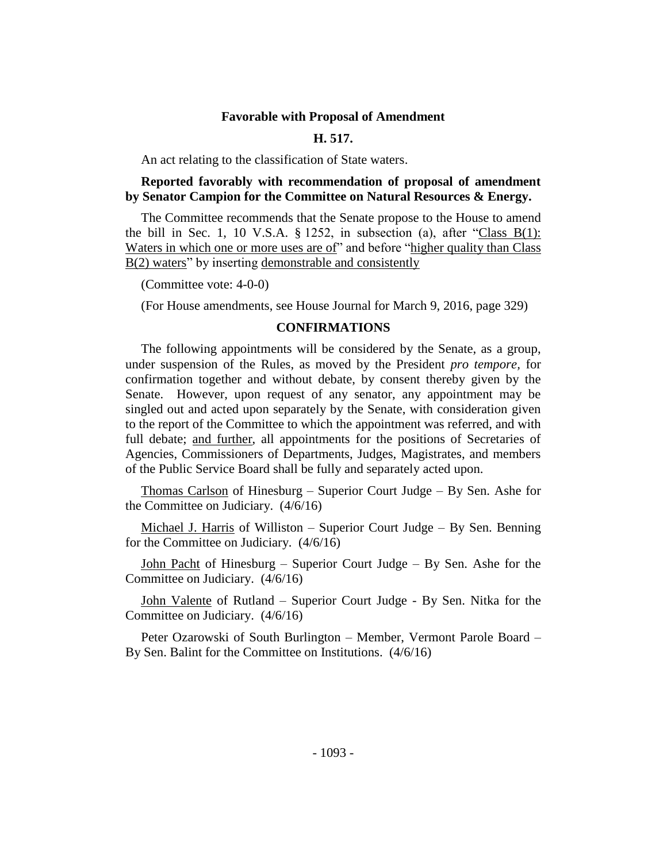#### **Favorable with Proposal of Amendment**

#### **H. 517.**

An act relating to the classification of State waters.

## **Reported favorably with recommendation of proposal of amendment by Senator Campion for the Committee on Natural Resources & Energy.**

The Committee recommends that the Senate propose to the House to amend the bill in Sec. 1, 10 V.S.A.  $\S$  1252, in subsection (a), after "Class B(1): Waters in which one or more uses are of" and before "higher quality than Class" B(2) waters" by inserting demonstrable and consistently

(Committee vote: 4-0-0)

(For House amendments, see House Journal for March 9, 2016, page 329)

#### **CONFIRMATIONS**

The following appointments will be considered by the Senate, as a group, under suspension of the Rules, as moved by the President *pro tempore,* for confirmation together and without debate, by consent thereby given by the Senate. However, upon request of any senator, any appointment may be singled out and acted upon separately by the Senate, with consideration given to the report of the Committee to which the appointment was referred, and with full debate; and further, all appointments for the positions of Secretaries of Agencies, Commissioners of Departments, Judges, Magistrates, and members of the Public Service Board shall be fully and separately acted upon.

Thomas Carlson of Hinesburg – Superior Court Judge – By Sen. Ashe for the Committee on Judiciary. (4/6/16)

Michael J. Harris of Williston – Superior Court Judge – By Sen. Benning for the Committee on Judiciary. (4/6/16)

John Pacht of Hinesburg – Superior Court Judge – By Sen. Ashe for the Committee on Judiciary. (4/6/16)

John Valente of Rutland – Superior Court Judge - By Sen. Nitka for the Committee on Judiciary. (4/6/16)

Peter Ozarowski of South Burlington – Member, Vermont Parole Board – By Sen. Balint for the Committee on Institutions. (4/6/16)